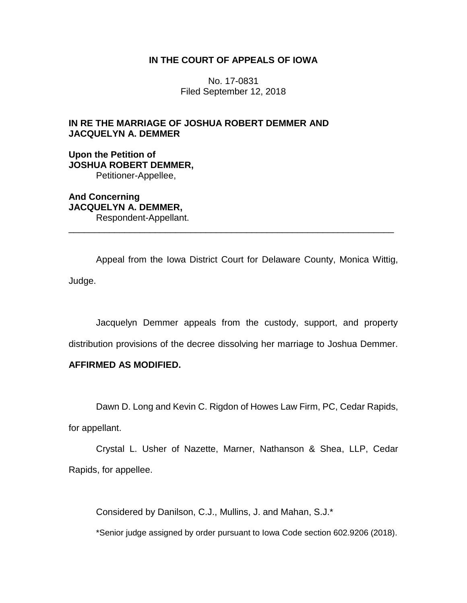# **IN THE COURT OF APPEALS OF IOWA**

No. 17-0831 Filed September 12, 2018

# **IN RE THE MARRIAGE OF JOSHUA ROBERT DEMMER AND JACQUELYN A. DEMMER**

**Upon the Petition of JOSHUA ROBERT DEMMER,** Petitioner-Appellee,

**And Concerning JACQUELYN A. DEMMER,** Respondent-Appellant.

Appeal from the Iowa District Court for Delaware County, Monica Wittig, Judge.

\_\_\_\_\_\_\_\_\_\_\_\_\_\_\_\_\_\_\_\_\_\_\_\_\_\_\_\_\_\_\_\_\_\_\_\_\_\_\_\_\_\_\_\_\_\_\_\_\_\_\_\_\_\_\_\_\_\_\_\_\_\_\_\_

Jacquelyn Demmer appeals from the custody, support, and property distribution provisions of the decree dissolving her marriage to Joshua Demmer.

# **AFFIRMED AS MODIFIED.**

Dawn D. Long and Kevin C. Rigdon of Howes Law Firm, PC, Cedar Rapids,

for appellant.

Crystal L. Usher of Nazette, Marner, Nathanson & Shea, LLP, Cedar Rapids, for appellee.

Considered by Danilson, C.J., Mullins, J. and Mahan, S.J.\*

\*Senior judge assigned by order pursuant to Iowa Code section 602.9206 (2018).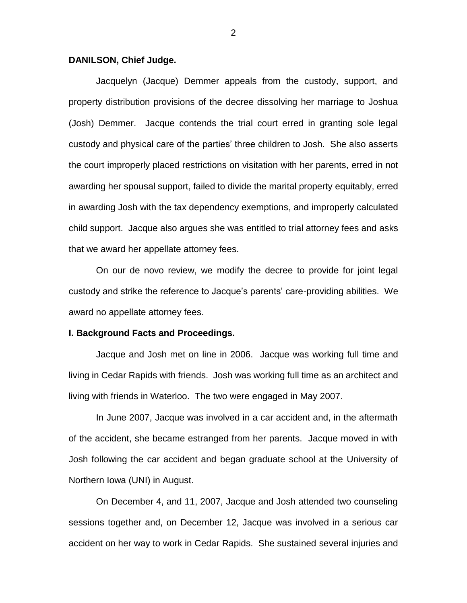## **DANILSON, Chief Judge.**

Jacquelyn (Jacque) Demmer appeals from the custody, support, and property distribution provisions of the decree dissolving her marriage to Joshua (Josh) Demmer. Jacque contends the trial court erred in granting sole legal custody and physical care of the parties' three children to Josh. She also asserts the court improperly placed restrictions on visitation with her parents, erred in not awarding her spousal support, failed to divide the marital property equitably, erred in awarding Josh with the tax dependency exemptions, and improperly calculated child support. Jacque also argues she was entitled to trial attorney fees and asks that we award her appellate attorney fees.

On our de novo review, we modify the decree to provide for joint legal custody and strike the reference to Jacque's parents' care-providing abilities. We award no appellate attorney fees.

#### **I. Background Facts and Proceedings.**

Jacque and Josh met on line in 2006. Jacque was working full time and living in Cedar Rapids with friends. Josh was working full time as an architect and living with friends in Waterloo. The two were engaged in May 2007.

In June 2007, Jacque was involved in a car accident and, in the aftermath of the accident, she became estranged from her parents. Jacque moved in with Josh following the car accident and began graduate school at the University of Northern Iowa (UNI) in August.

On December 4, and 11, 2007, Jacque and Josh attended two counseling sessions together and, on December 12, Jacque was involved in a serious car accident on her way to work in Cedar Rapids. She sustained several injuries and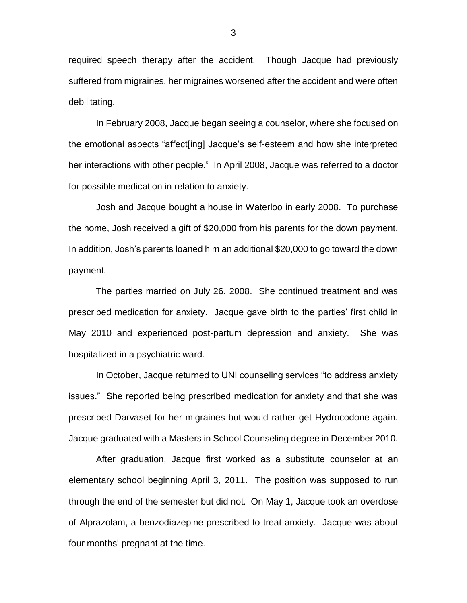required speech therapy after the accident. Though Jacque had previously suffered from migraines, her migraines worsened after the accident and were often debilitating.

In February 2008, Jacque began seeing a counselor, where she focused on the emotional aspects "affect[ing] Jacque's self-esteem and how she interpreted her interactions with other people." In April 2008, Jacque was referred to a doctor for possible medication in relation to anxiety.

Josh and Jacque bought a house in Waterloo in early 2008. To purchase the home, Josh received a gift of \$20,000 from his parents for the down payment. In addition, Josh's parents loaned him an additional \$20,000 to go toward the down payment.

The parties married on July 26, 2008. She continued treatment and was prescribed medication for anxiety. Jacque gave birth to the parties' first child in May 2010 and experienced post-partum depression and anxiety. She was hospitalized in a psychiatric ward.

In October, Jacque returned to UNI counseling services "to address anxiety issues." She reported being prescribed medication for anxiety and that she was prescribed Darvaset for her migraines but would rather get Hydrocodone again. Jacque graduated with a Masters in School Counseling degree in December 2010.

After graduation, Jacque first worked as a substitute counselor at an elementary school beginning April 3, 2011. The position was supposed to run through the end of the semester but did not. On May 1, Jacque took an overdose of Alprazolam, a benzodiazepine prescribed to treat anxiety. Jacque was about four months' pregnant at the time.

3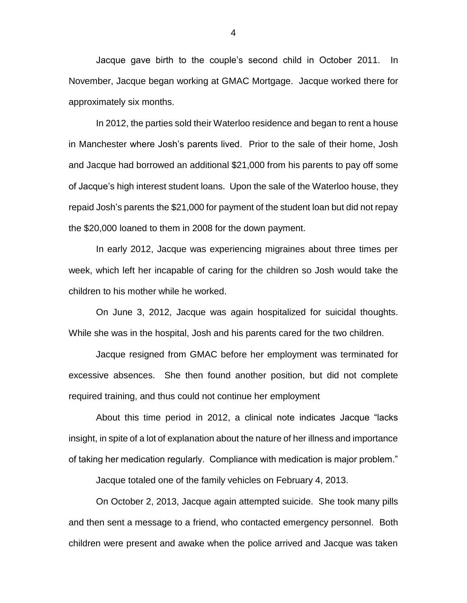Jacque gave birth to the couple's second child in October 2011. In November, Jacque began working at GMAC Mortgage. Jacque worked there for approximately six months.

In 2012, the parties sold their Waterloo residence and began to rent a house in Manchester where Josh's parents lived. Prior to the sale of their home, Josh and Jacque had borrowed an additional \$21,000 from his parents to pay off some of Jacque's high interest student loans. Upon the sale of the Waterloo house, they repaid Josh's parents the \$21,000 for payment of the student loan but did not repay the \$20,000 loaned to them in 2008 for the down payment.

In early 2012, Jacque was experiencing migraines about three times per week, which left her incapable of caring for the children so Josh would take the children to his mother while he worked.

On June 3, 2012, Jacque was again hospitalized for suicidal thoughts. While she was in the hospital, Josh and his parents cared for the two children.

Jacque resigned from GMAC before her employment was terminated for excessive absences. She then found another position, but did not complete required training, and thus could not continue her employment

About this time period in 2012, a clinical note indicates Jacque "lacks insight, in spite of a lot of explanation about the nature of her illness and importance of taking her medication regularly. Compliance with medication is major problem."

Jacque totaled one of the family vehicles on February 4, 2013.

On October 2, 2013, Jacque again attempted suicide. She took many pills and then sent a message to a friend, who contacted emergency personnel. Both children were present and awake when the police arrived and Jacque was taken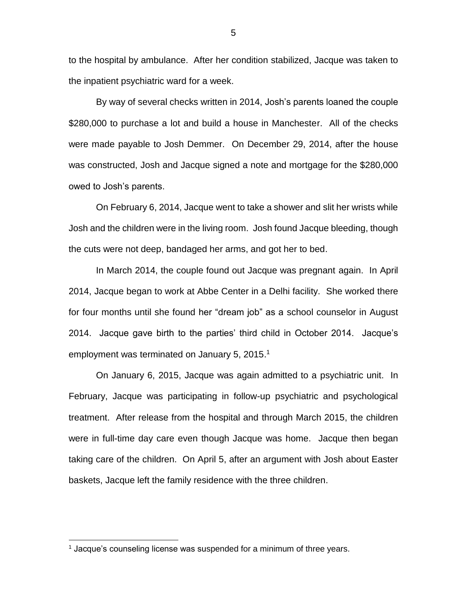to the hospital by ambulance. After her condition stabilized, Jacque was taken to the inpatient psychiatric ward for a week.

By way of several checks written in 2014, Josh's parents loaned the couple \$280,000 to purchase a lot and build a house in Manchester. All of the checks were made payable to Josh Demmer. On December 29, 2014, after the house was constructed, Josh and Jacque signed a note and mortgage for the \$280,000 owed to Josh's parents.

On February 6, 2014, Jacque went to take a shower and slit her wrists while Josh and the children were in the living room. Josh found Jacque bleeding, though the cuts were not deep, bandaged her arms, and got her to bed.

In March 2014, the couple found out Jacque was pregnant again. In April 2014, Jacque began to work at Abbe Center in a Delhi facility. She worked there for four months until she found her "dream job" as a school counselor in August 2014. Jacque gave birth to the parties' third child in October 2014. Jacque's employment was terminated on January 5, 2015.<sup>1</sup>

On January 6, 2015, Jacque was again admitted to a psychiatric unit. In February, Jacque was participating in follow-up psychiatric and psychological treatment. After release from the hospital and through March 2015, the children were in full-time day care even though Jacque was home. Jacque then began taking care of the children. On April 5, after an argument with Josh about Easter baskets, Jacque left the family residence with the three children.

<sup>&</sup>lt;sup>1</sup> Jacque's counseling license was suspended for a minimum of three years.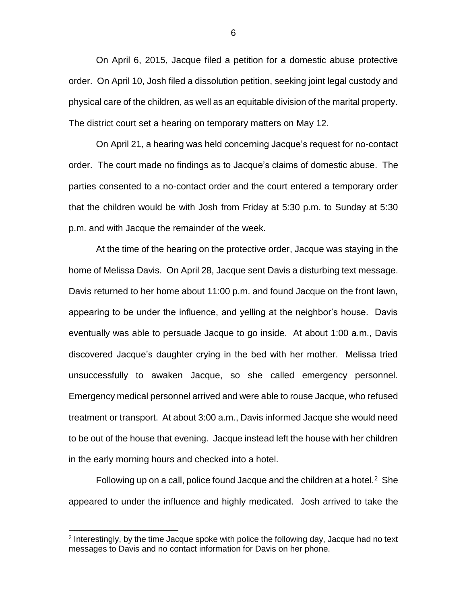On April 6, 2015, Jacque filed a petition for a domestic abuse protective order. On April 10, Josh filed a dissolution petition, seeking joint legal custody and physical care of the children, as well as an equitable division of the marital property. The district court set a hearing on temporary matters on May 12.

On April 21, a hearing was held concerning Jacque's request for no-contact order. The court made no findings as to Jacque's claims of domestic abuse. The parties consented to a no-contact order and the court entered a temporary order that the children would be with Josh from Friday at 5:30 p.m. to Sunday at 5:30 p.m. and with Jacque the remainder of the week.

At the time of the hearing on the protective order, Jacque was staying in the home of Melissa Davis. On April 28, Jacque sent Davis a disturbing text message. Davis returned to her home about 11:00 p.m. and found Jacque on the front lawn, appearing to be under the influence, and yelling at the neighbor's house. Davis eventually was able to persuade Jacque to go inside. At about 1:00 a.m., Davis discovered Jacque's daughter crying in the bed with her mother. Melissa tried unsuccessfully to awaken Jacque, so she called emergency personnel. Emergency medical personnel arrived and were able to rouse Jacque, who refused treatment or transport. At about 3:00 a.m., Davis informed Jacque she would need to be out of the house that evening. Jacque instead left the house with her children in the early morning hours and checked into a hotel.

Following up on a call, police found Jacque and the children at a hotel. $2$  She appeared to under the influence and highly medicated. Josh arrived to take the

<sup>&</sup>lt;sup>2</sup> Interestingly, by the time Jacque spoke with police the following day, Jacque had no text messages to Davis and no contact information for Davis on her phone.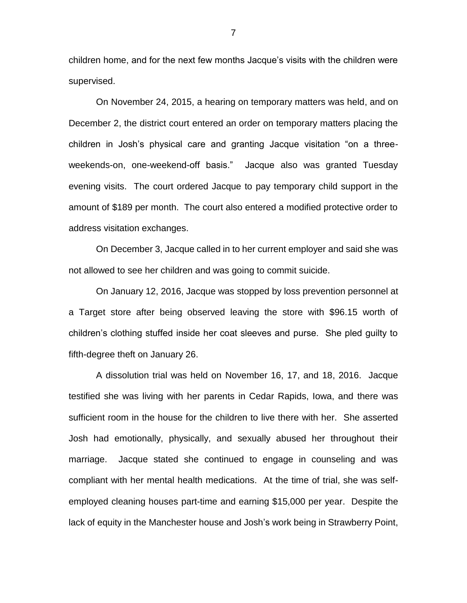children home, and for the next few months Jacque's visits with the children were supervised.

On November 24, 2015, a hearing on temporary matters was held, and on December 2, the district court entered an order on temporary matters placing the children in Josh's physical care and granting Jacque visitation "on a threeweekends-on, one-weekend-off basis." Jacque also was granted Tuesday evening visits. The court ordered Jacque to pay temporary child support in the amount of \$189 per month. The court also entered a modified protective order to address visitation exchanges.

On December 3, Jacque called in to her current employer and said she was not allowed to see her children and was going to commit suicide.

On January 12, 2016, Jacque was stopped by loss prevention personnel at a Target store after being observed leaving the store with \$96.15 worth of children's clothing stuffed inside her coat sleeves and purse. She pled guilty to fifth-degree theft on January 26.

A dissolution trial was held on November 16, 17, and 18, 2016. Jacque testified she was living with her parents in Cedar Rapids, Iowa, and there was sufficient room in the house for the children to live there with her. She asserted Josh had emotionally, physically, and sexually abused her throughout their marriage. Jacque stated she continued to engage in counseling and was compliant with her mental health medications. At the time of trial, she was selfemployed cleaning houses part-time and earning \$15,000 per year. Despite the lack of equity in the Manchester house and Josh's work being in Strawberry Point,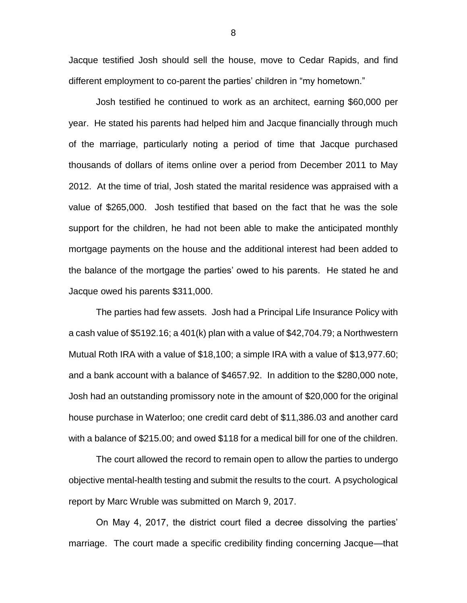Jacque testified Josh should sell the house, move to Cedar Rapids, and find different employment to co-parent the parties' children in "my hometown."

Josh testified he continued to work as an architect, earning \$60,000 per year. He stated his parents had helped him and Jacque financially through much of the marriage, particularly noting a period of time that Jacque purchased thousands of dollars of items online over a period from December 2011 to May 2012. At the time of trial, Josh stated the marital residence was appraised with a value of \$265,000. Josh testified that based on the fact that he was the sole support for the children, he had not been able to make the anticipated monthly mortgage payments on the house and the additional interest had been added to the balance of the mortgage the parties' owed to his parents. He stated he and Jacque owed his parents \$311,000.

The parties had few assets. Josh had a Principal Life Insurance Policy with a cash value of \$5192.16; a 401(k) plan with a value of \$42,704.79; a Northwestern Mutual Roth IRA with a value of \$18,100; a simple IRA with a value of \$13,977.60; and a bank account with a balance of \$4657.92. In addition to the \$280,000 note, Josh had an outstanding promissory note in the amount of \$20,000 for the original house purchase in Waterloo; one credit card debt of \$11,386.03 and another card with a balance of \$215.00; and owed \$118 for a medical bill for one of the children.

The court allowed the record to remain open to allow the parties to undergo objective mental-health testing and submit the results to the court. A psychological report by Marc Wruble was submitted on March 9, 2017.

On May 4, 2017, the district court filed a decree dissolving the parties' marriage. The court made a specific credibility finding concerning Jacque—that

8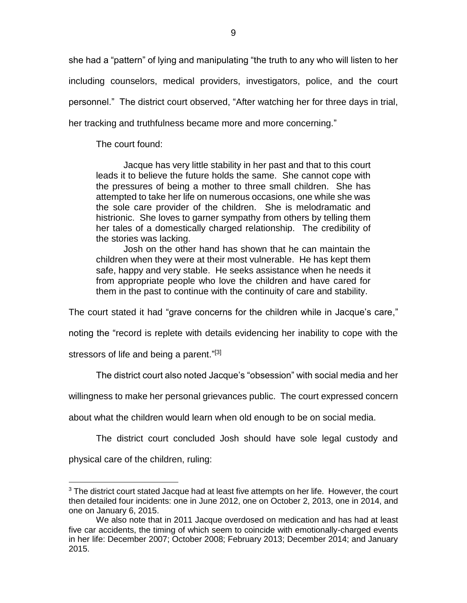she had a "pattern" of lying and manipulating "the truth to any who will listen to her including counselors, medical providers, investigators, police, and the court personnel." The district court observed, "After watching her for three days in trial, her tracking and truthfulness became more and more concerning."

The court found:

Jacque has very little stability in her past and that to this court leads it to believe the future holds the same. She cannot cope with the pressures of being a mother to three small children. She has attempted to take her life on numerous occasions, one while she was the sole care provider of the children. She is melodramatic and histrionic. She loves to garner sympathy from others by telling them her tales of a domestically charged relationship. The credibility of the stories was lacking.

Josh on the other hand has shown that he can maintain the children when they were at their most vulnerable. He has kept them safe, happy and very stable. He seeks assistance when he needs it from appropriate people who love the children and have cared for them in the past to continue with the continuity of care and stability.

The court stated it had "grave concerns for the children while in Jacque's care,"

noting the "record is replete with details evidencing her inability to cope with the

stressors of life and being a parent."<sup>[3]</sup>

The district court also noted Jacque's "obsession" with social media and her

willingness to make her personal grievances public. The court expressed concern

about what the children would learn when old enough to be on social media.

The district court concluded Josh should have sole legal custody and

physical care of the children, ruling:

 $3$  The district court stated Jacque had at least five attempts on her life. However, the court then detailed four incidents: one in June 2012, one on October 2, 2013, one in 2014, and one on January 6, 2015.

We also note that in 2011 Jacque overdosed on medication and has had at least five car accidents, the timing of which seem to coincide with emotionally-charged events in her life: December 2007; October 2008; February 2013; December 2014; and January 2015.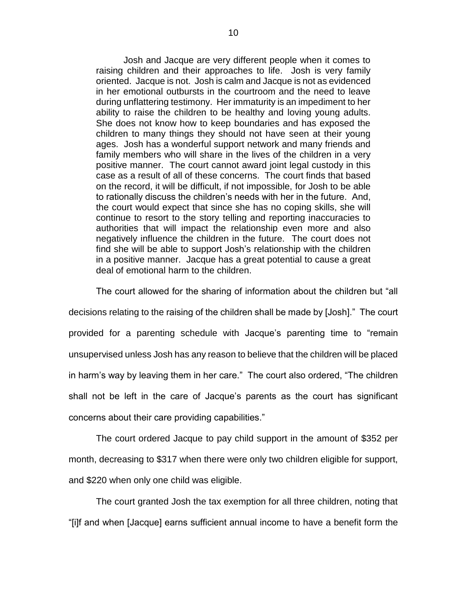Josh and Jacque are very different people when it comes to raising children and their approaches to life. Josh is very family oriented. Jacque is not. Josh is calm and Jacque is not as evidenced in her emotional outbursts in the courtroom and the need to leave during unflattering testimony. Her immaturity is an impediment to her ability to raise the children to be healthy and loving young adults. She does not know how to keep boundaries and has exposed the children to many things they should not have seen at their young ages. Josh has a wonderful support network and many friends and family members who will share in the lives of the children in a very positive manner. The court cannot award joint legal custody in this case as a result of all of these concerns. The court finds that based on the record, it will be difficult, if not impossible, for Josh to be able to rationally discuss the children's needs with her in the future. And, the court would expect that since she has no coping skills, she will continue to resort to the story telling and reporting inaccuracies to authorities that will impact the relationship even more and also negatively influence the children in the future. The court does not find she will be able to support Josh's relationship with the children in a positive manner. Jacque has a great potential to cause a great deal of emotional harm to the children.

The court allowed for the sharing of information about the children but "all decisions relating to the raising of the children shall be made by [Josh]." The court provided for a parenting schedule with Jacque's parenting time to "remain unsupervised unless Josh has any reason to believe that the children will be placed in harm's way by leaving them in her care." The court also ordered, "The children shall not be left in the care of Jacque's parents as the court has significant concerns about their care providing capabilities."

The court ordered Jacque to pay child support in the amount of \$352 per month, decreasing to \$317 when there were only two children eligible for support, and \$220 when only one child was eligible.

The court granted Josh the tax exemption for all three children, noting that "[i]f and when [Jacque] earns sufficient annual income to have a benefit form the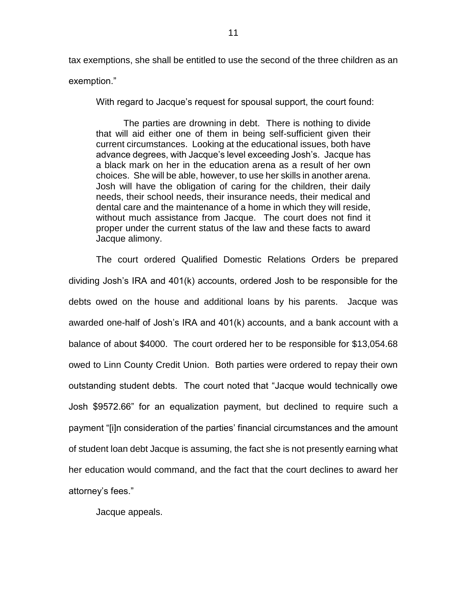tax exemptions, she shall be entitled to use the second of the three children as an exemption."

With regard to Jacque's request for spousal support, the court found:

The parties are drowning in debt. There is nothing to divide that will aid either one of them in being self-sufficient given their current circumstances. Looking at the educational issues, both have advance degrees, with Jacque's level exceeding Josh's. Jacque has a black mark on her in the education arena as a result of her own choices. She will be able, however, to use her skills in another arena. Josh will have the obligation of caring for the children, their daily needs, their school needs, their insurance needs, their medical and dental care and the maintenance of a home in which they will reside, without much assistance from Jacque. The court does not find it proper under the current status of the law and these facts to award Jacque alimony.

The court ordered Qualified Domestic Relations Orders be prepared dividing Josh's IRA and 401(k) accounts, ordered Josh to be responsible for the debts owed on the house and additional loans by his parents. Jacque was awarded one-half of Josh's IRA and 401(k) accounts, and a bank account with a balance of about \$4000. The court ordered her to be responsible for \$13,054.68 owed to Linn County Credit Union. Both parties were ordered to repay their own outstanding student debts. The court noted that "Jacque would technically owe Josh \$9572.66" for an equalization payment, but declined to require such a payment "[i]n consideration of the parties' financial circumstances and the amount of student loan debt Jacque is assuming, the fact she is not presently earning what her education would command, and the fact that the court declines to award her attorney's fees."

Jacque appeals.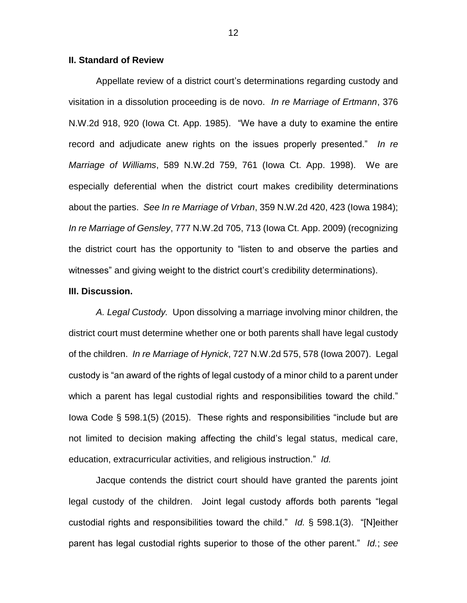## **II. Standard of Review**

Appellate review of a district court's determinations regarding custody and visitation in a dissolution proceeding is de novo. *In re Marriage of Ertmann*, 376 N.W.2d 918, 920 (Iowa Ct. App. 1985). "We have a duty to examine the entire record and adjudicate anew rights on the issues properly presented." *In re Marriage of Williams*, 589 N.W.2d 759, 761 (Iowa Ct. App. 1998). We are especially deferential when the district court makes credibility determinations about the parties. *See In re Marriage of Vrban*, 359 N.W.2d 420, 423 (Iowa 1984); *In re Marriage of Gensley*, 777 N.W.2d 705, 713 (Iowa Ct. App. 2009) (recognizing the district court has the opportunity to "listen to and observe the parties and witnesses" and giving weight to the district court's credibility determinations).

### **III. Discussion.**

*A. Legal Custody.* Upon dissolving a marriage involving minor children, the district court must determine whether one or both parents shall have legal custody of the children. *In re Marriage of Hynick*, 727 N.W.2d 575, 578 (Iowa 2007). Legal custody is "an award of the rights of legal custody of a minor child to a parent under which a parent has legal custodial rights and responsibilities toward the child." Iowa Code § 598.1(5) (2015). These rights and responsibilities "include but are not limited to decision making affecting the child's legal status, medical care, education, extracurricular activities, and religious instruction." *Id.*

Jacque contends the district court should have granted the parents joint legal custody of the children. Joint legal custody affords both parents "legal custodial rights and responsibilities toward the child." *Id.* § 598.1(3). "[N]either parent has legal custodial rights superior to those of the other parent." *Id.*; *see*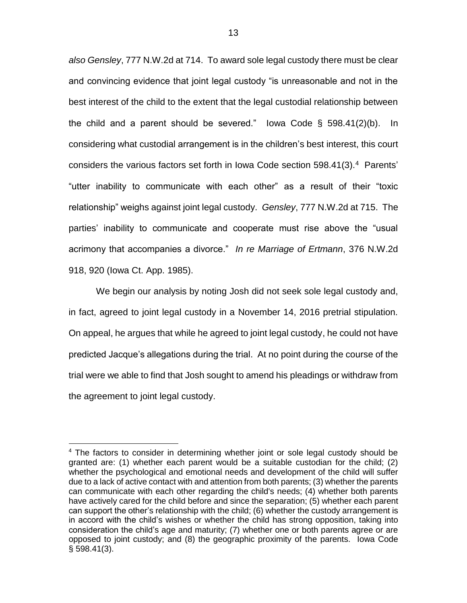*also Gensley*, 777 N.W.2d at 714. To award sole legal custody there must be clear and convincing evidence that joint legal custody "is unreasonable and not in the best interest of the child to the extent that the legal custodial relationship between the child and a parent should be severed." Iowa Code  $\S$  598.41(2)(b). In considering what custodial arrangement is in the children's best interest, this court considers the various factors set forth in Iowa Code section 598.41(3).<sup>4</sup> Parents' "utter inability to communicate with each other" as a result of their "toxic relationship" weighs against joint legal custody. *Gensley*, 777 N.W.2d at 715. The parties' inability to communicate and cooperate must rise above the "usual acrimony that accompanies a divorce." *In re Marriage of Ertmann*, 376 N.W.2d 918, 920 (Iowa Ct. App. 1985).

We begin our analysis by noting Josh did not seek sole legal custody and, in fact, agreed to joint legal custody in a November 14, 2016 pretrial stipulation. On appeal, he argues that while he agreed to joint legal custody, he could not have predicted Jacque's allegations during the trial. At no point during the course of the trial were we able to find that Josh sought to amend his pleadings or withdraw from the agreement to joint legal custody.

<sup>&</sup>lt;sup>4</sup> The factors to consider in determining whether joint or sole legal custody should be granted are: (1) whether each parent would be a suitable custodian for the child; (2) whether the psychological and emotional needs and development of the child will suffer due to a lack of active contact with and attention from both parents; (3) whether the parents can communicate with each other regarding the child's needs; (4) whether both parents have actively cared for the child before and since the separation; (5) whether each parent can support the other's relationship with the child; (6) whether the custody arrangement is in accord with the child's wishes or whether the child has strong opposition, taking into consideration the child's age and maturity; (7) whether one or both parents agree or are opposed to joint custody; and (8) the geographic proximity of the parents. Iowa Code  $§$  598.41(3).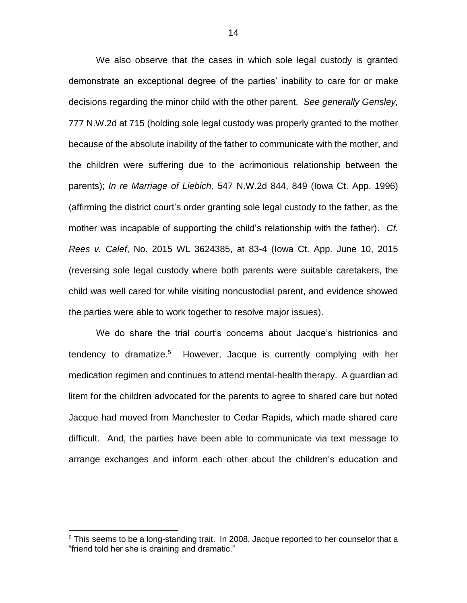We also observe that the cases in which sole legal custody is granted demonstrate an exceptional degree of the parties' inability to care for or make decisions regarding the minor child with the other parent. *See generally Gensley,* 777 N.W.2d at 715 (holding sole legal custody was properly granted to the mother because of the absolute inability of the father to communicate with the mother, and the children were suffering due to the acrimonious relationship between the parents); *In re Marriage of Liebich,* 547 N.W.2d 844, 849 (Iowa Ct. App. 1996) (affirming the district court's order granting sole legal custody to the father, as the mother was incapable of supporting the child's relationship with the father). *Cf. Rees v. Calef*, No. 2015 WL 3624385, at 83-4 (Iowa Ct. App. June 10, 2015 (reversing sole legal custody where both parents were suitable caretakers, the child was well cared for while visiting noncustodial parent, and evidence showed the parties were able to work together to resolve major issues).

We do share the trial court's concerns about Jacque's histrionics and tendency to dramatize.<sup>5</sup> However, Jacque is currently complying with her medication regimen and continues to attend mental-health therapy. A guardian ad litem for the children advocated for the parents to agree to shared care but noted Jacque had moved from Manchester to Cedar Rapids, which made shared care difficult. And, the parties have been able to communicate via text message to arrange exchanges and inform each other about the children's education and

<sup>&</sup>lt;sup>5</sup> This seems to be a long-standing trait. In 2008, Jacque reported to her counselor that a "friend told her she is draining and dramatic."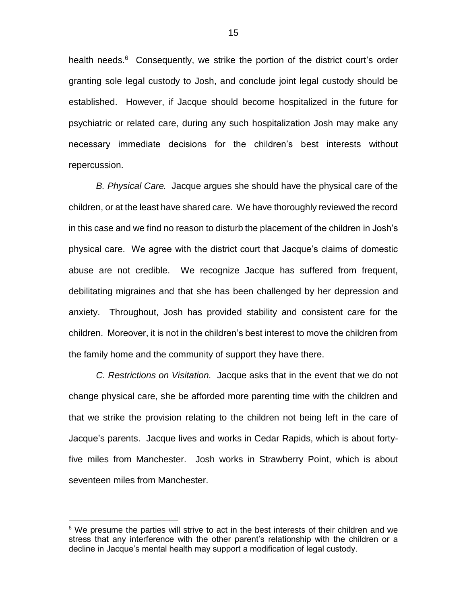health needs.<sup>6</sup> Consequently, we strike the portion of the district court's order granting sole legal custody to Josh, and conclude joint legal custody should be established. However, if Jacque should become hospitalized in the future for psychiatric or related care, during any such hospitalization Josh may make any necessary immediate decisions for the children's best interests without repercussion.

*B. Physical Care.* Jacque argues she should have the physical care of the children, or at the least have shared care. We have thoroughly reviewed the record in this case and we find no reason to disturb the placement of the children in Josh's physical care. We agree with the district court that Jacque's claims of domestic abuse are not credible. We recognize Jacque has suffered from frequent, debilitating migraines and that she has been challenged by her depression and anxiety. Throughout, Josh has provided stability and consistent care for the children. Moreover, it is not in the children's best interest to move the children from the family home and the community of support they have there.

*C. Restrictions on Visitation.* Jacque asks that in the event that we do not change physical care, she be afforded more parenting time with the children and that we strike the provision relating to the children not being left in the care of Jacque's parents. Jacque lives and works in Cedar Rapids, which is about fortyfive miles from Manchester. Josh works in Strawberry Point, which is about seventeen miles from Manchester.

 $6$  We presume the parties will strive to act in the best interests of their children and we stress that any interference with the other parent's relationship with the children or a decline in Jacque's mental health may support a modification of legal custody.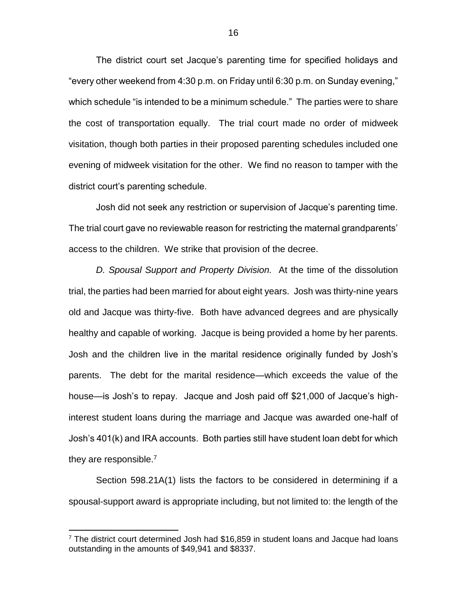The district court set Jacque's parenting time for specified holidays and "every other weekend from 4:30 p.m. on Friday until 6:30 p.m. on Sunday evening," which schedule "is intended to be a minimum schedule." The parties were to share the cost of transportation equally. The trial court made no order of midweek visitation, though both parties in their proposed parenting schedules included one evening of midweek visitation for the other. We find no reason to tamper with the district court's parenting schedule.

Josh did not seek any restriction or supervision of Jacque's parenting time. The trial court gave no reviewable reason for restricting the maternal grandparents' access to the children. We strike that provision of the decree.

*D. Spousal Support and Property Division.* At the time of the dissolution trial, the parties had been married for about eight years. Josh was thirty-nine years old and Jacque was thirty-five. Both have advanced degrees and are physically healthy and capable of working. Jacque is being provided a home by her parents. Josh and the children live in the marital residence originally funded by Josh's parents. The debt for the marital residence—which exceeds the value of the house—is Josh's to repay. Jacque and Josh paid off \$21,000 of Jacque's highinterest student loans during the marriage and Jacque was awarded one-half of Josh's 401(k) and IRA accounts. Both parties still have student loan debt for which they are responsible.<sup>7</sup>

Section 598.21A(1) lists the factors to be considered in determining if a spousal-support award is appropriate including, but not limited to: the length of the

 $7$  The district court determined Josh had \$16,859 in student loans and Jacque had loans outstanding in the amounts of \$49,941 and \$8337.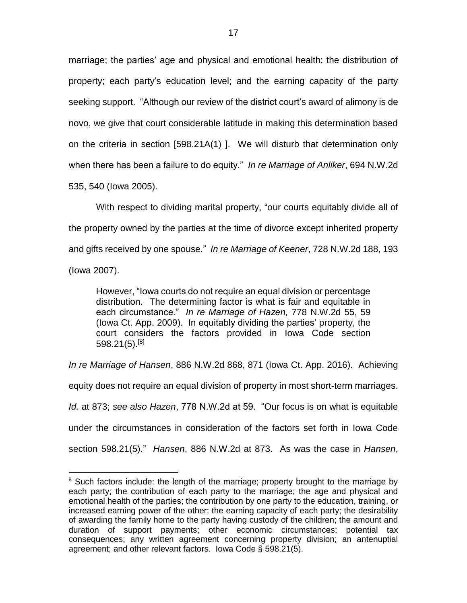marriage; the parties' age and physical and emotional health; the distribution of property; each party's education level; and the earning capacity of the party seeking support. "Although our review of the district court's award of alimony is de novo, we give that court considerable latitude in making this determination based on the criteria in section [598.21A(1) ]. We will disturb that determination only when there has been a failure to do equity." *In re Marriage of Anliker*, 694 N.W.2d 535, 540 (Iowa 2005).

With respect to dividing marital property, "our courts equitably divide all of the property owned by the parties at the time of divorce except inherited property and gifts received by one spouse." *In re Marriage of Keener*, 728 N.W.2d 188, 193 (Iowa 2007).

However, "Iowa courts do not require an equal division or percentage distribution. The determining factor is what is fair and equitable in each circumstance." *In re Marriage of Hazen,* 778 N.W.2d 55, 59 (Iowa Ct. App. 2009). In equitably dividing the parties' property, the court considers the factors provided in Iowa Code section 598.21(5).[8]

*In re Marriage of Hansen*, 886 N.W.2d 868, 871 (Iowa Ct. App. 2016). Achieving

equity does not require an equal division of property in most short-term marriages.

*Id.* at 873; *see also Hazen*, 778 N.W.2d at 59. "Our focus is on what is equitable

under the circumstances in consideration of the factors set forth in Iowa Code

section 598.21(5)." *Hansen*, 886 N.W.2d at 873. As was the case in *Hansen*,

<sup>&</sup>lt;sup>8</sup> Such factors include: the length of the marriage; property brought to the marriage by each party; the contribution of each party to the marriage; the age and physical and emotional health of the parties; the contribution by one party to the education, training, or increased earning power of the other; the earning capacity of each party; the desirability of awarding the family home to the party having custody of the children; the amount and duration of support payments; other economic circumstances; potential tax consequences; any written agreement concerning property division; an antenuptial agreement; and other relevant factors. Iowa Code § 598.21(5).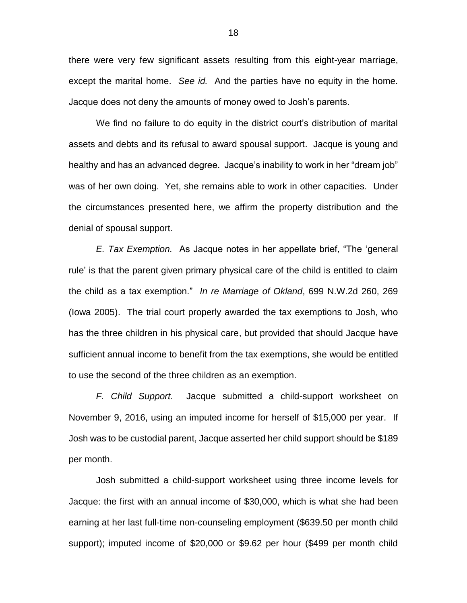there were very few significant assets resulting from this eight-year marriage, except the marital home. *See id.* And the parties have no equity in the home. Jacque does not deny the amounts of money owed to Josh's parents.

We find no failure to do equity in the district court's distribution of marital assets and debts and its refusal to award spousal support. Jacque is young and healthy and has an advanced degree. Jacque's inability to work in her "dream job" was of her own doing. Yet, she remains able to work in other capacities. Under the circumstances presented here, we affirm the property distribution and the denial of spousal support.

*E. Tax Exemption.* As Jacque notes in her appellate brief, "The 'general rule' is that the parent given primary physical care of the child is entitled to claim the child as a tax exemption." *In re Marriage of Okland*, 699 N.W.2d 260, 269 (Iowa 2005). The trial court properly awarded the tax exemptions to Josh, who has the three children in his physical care, but provided that should Jacque have sufficient annual income to benefit from the tax exemptions, she would be entitled to use the second of the three children as an exemption.

*F. Child Support.* Jacque submitted a child-support worksheet on November 9, 2016, using an imputed income for herself of \$15,000 per year. If Josh was to be custodial parent, Jacque asserted her child support should be \$189 per month.

Josh submitted a child-support worksheet using three income levels for Jacque: the first with an annual income of \$30,000, which is what she had been earning at her last full-time non-counseling employment (\$639.50 per month child support); imputed income of \$20,000 or \$9.62 per hour (\$499 per month child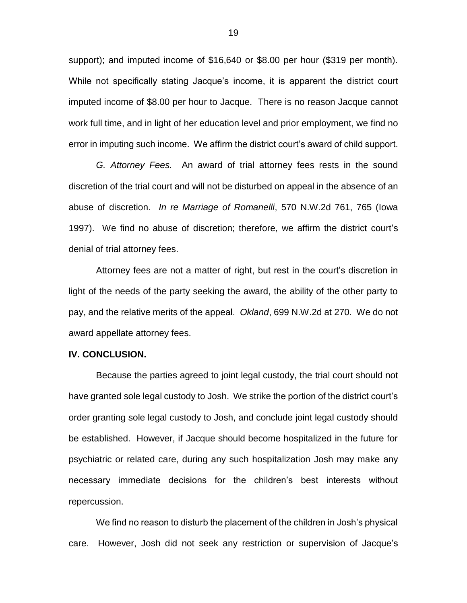support); and imputed income of \$16,640 or \$8.00 per hour (\$319 per month). While not specifically stating Jacque's income, it is apparent the district court imputed income of \$8.00 per hour to Jacque. There is no reason Jacque cannot work full time, and in light of her education level and prior employment, we find no error in imputing such income. We affirm the district court's award of child support.

*G. Attorney Fees.* An award of trial attorney fees rests in the sound discretion of the trial court and will not be disturbed on appeal in the absence of an abuse of discretion. *In re Marriage of Romanelli*, 570 N.W.2d 761, 765 (Iowa 1997). We find no abuse of discretion; therefore, we affirm the district court's denial of trial attorney fees.

Attorney fees are not a matter of right, but rest in the court's discretion in light of the needs of the party seeking the award, the ability of the other party to pay, and the relative merits of the appeal. *Okland*, 699 N.W.2d at 270. We do not award appellate attorney fees.

#### **IV. CONCLUSION.**

Because the parties agreed to joint legal custody, the trial court should not have granted sole legal custody to Josh. We strike the portion of the district court's order granting sole legal custody to Josh, and conclude joint legal custody should be established. However, if Jacque should become hospitalized in the future for psychiatric or related care, during any such hospitalization Josh may make any necessary immediate decisions for the children's best interests without repercussion.

We find no reason to disturb the placement of the children in Josh's physical care. However, Josh did not seek any restriction or supervision of Jacque's